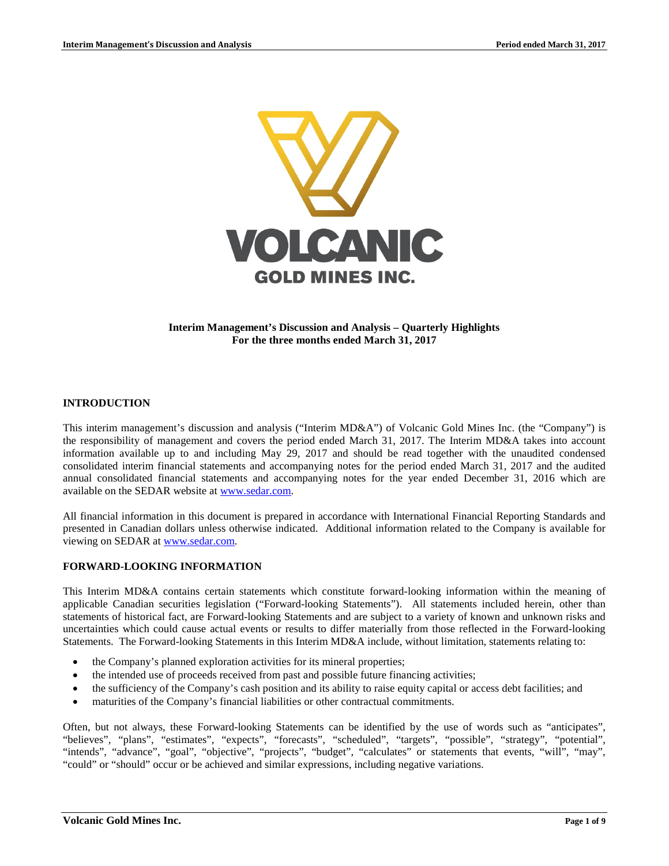

### **Interim Management's Discussion and Analysis – Quarterly Highlights For the three months ended March 31, 2017**

### **INTRODUCTION**

This interim management's discussion and analysis ("Interim MD&A") of Volcanic Gold Mines Inc. (the "Company") is the responsibility of management and covers the period ended March 31, 2017. The Interim MD&A takes into account information available up to and including May 29, 2017 and should be read together with the unaudited condensed consolidated interim financial statements and accompanying notes for the period ended March 31, 2017 and the audited annual consolidated financial statements and accompanying notes for the year ended December 31, 2016 which are available on the SEDAR website at [www.sedar.com.](http://www.sedar.com/)

All financial information in this document is prepared in accordance with International Financial Reporting Standards and presented in Canadian dollars unless otherwise indicated. Additional information related to the Company is available for viewing on SEDAR at [www.sedar.com.](http://www.sedar.com/)

### **FORWARD-LOOKING INFORMATION**

This Interim MD&A contains certain statements which constitute forward-looking information within the meaning of applicable Canadian securities legislation ("Forward-looking Statements"). All statements included herein, other than statements of historical fact, are Forward-looking Statements and are subject to a variety of known and unknown risks and uncertainties which could cause actual events or results to differ materially from those reflected in the Forward-looking Statements. The Forward-looking Statements in this Interim MD&A include, without limitation, statements relating to:

- the Company's planned exploration activities for its mineral properties;
- the intended use of proceeds received from past and possible future financing activities;
- the sufficiency of the Company's cash position and its ability to raise equity capital or access debt facilities; and
- maturities of the Company's financial liabilities or other contractual commitments.

Often, but not always, these Forward-looking Statements can be identified by the use of words such as "anticipates", "believes", "plans", "estimates", "expects", "forecasts", "scheduled", "targets", "possible", "strategy", "potential", "intends", "advance", "goal", "objective", "projects", "budget", "calculates" or statements that events, "will", "may", "could" or "should" occur or be achieved and similar expressions, including negative variations.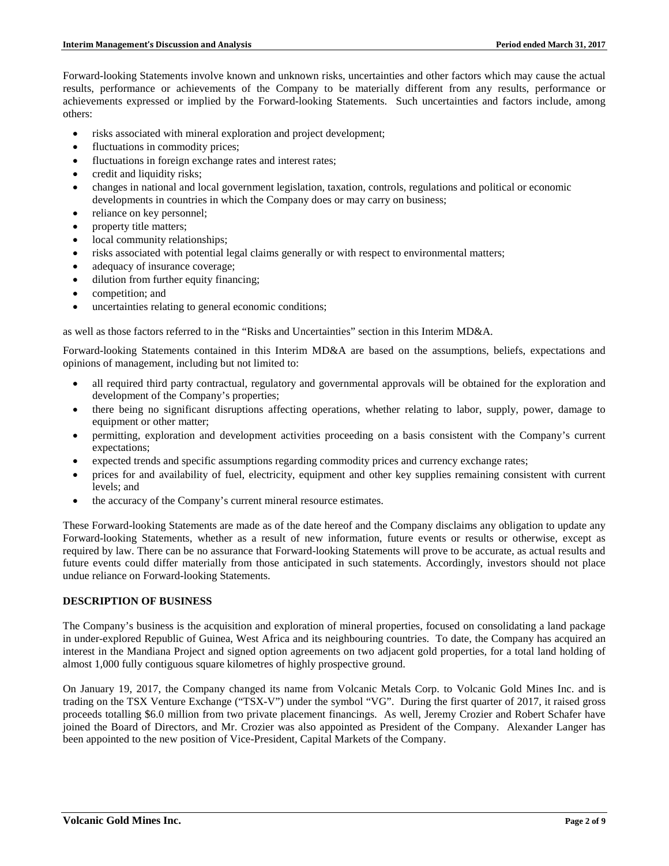Forward-looking Statements involve known and unknown risks, uncertainties and other factors which may cause the actual results, performance or achievements of the Company to be materially different from any results, performance or achievements expressed or implied by the Forward-looking Statements. Such uncertainties and factors include, among others:

- risks associated with mineral exploration and project development;
- fluctuations in commodity prices;
- fluctuations in foreign exchange rates and interest rates;
- credit and liquidity risks;
- changes in national and local government legislation, taxation, controls, regulations and political or economic developments in countries in which the Company does or may carry on business;
- reliance on key personnel;
- property title matters;
- local community relationships;
- risks associated with potential legal claims generally or with respect to environmental matters;
- adequacy of insurance coverage;
- dilution from further equity financing;
- competition; and
- uncertainties relating to general economic conditions;

as well as those factors referred to in the "Risks and Uncertainties" section in this Interim MD&A.

Forward-looking Statements contained in this Interim MD&A are based on the assumptions, beliefs, expectations and opinions of management, including but not limited to:

- all required third party contractual, regulatory and governmental approvals will be obtained for the exploration and development of the Company's properties;
- there being no significant disruptions affecting operations, whether relating to labor, supply, power, damage to equipment or other matter;
- permitting, exploration and development activities proceeding on a basis consistent with the Company's current expectations;
- expected trends and specific assumptions regarding commodity prices and currency exchange rates;
- prices for and availability of fuel, electricity, equipment and other key supplies remaining consistent with current levels; and
- the accuracy of the Company's current mineral resource estimates.

These Forward-looking Statements are made as of the date hereof and the Company disclaims any obligation to update any Forward-looking Statements, whether as a result of new information, future events or results or otherwise, except as required by law. There can be no assurance that Forward-looking Statements will prove to be accurate, as actual results and future events could differ materially from those anticipated in such statements. Accordingly, investors should not place undue reliance on Forward-looking Statements.

# **DESCRIPTION OF BUSINESS**

The Company's business is the acquisition and exploration of mineral properties, focused on consolidating a land package in under-explored Republic of Guinea, West Africa and its neighbouring countries. To date, the Company has acquired an interest in the Mandiana Project and signed option agreements on two adjacent gold properties, for a total land holding of almost 1,000 fully contiguous square kilometres of highly prospective ground.

On January 19, 2017, the Company changed its name from Volcanic Metals Corp. to Volcanic Gold Mines Inc. and is trading on the TSX Venture Exchange ("TSX-V") under the symbol "VG". During the first quarter of 2017, it raised gross proceeds totalling \$6.0 million from two private placement financings. As well, Jeremy Crozier and Robert Schafer have joined the Board of Directors, and Mr. Crozier was also appointed as President of the Company. Alexander Langer has been appointed to the new position of Vice-President, Capital Markets of the Company.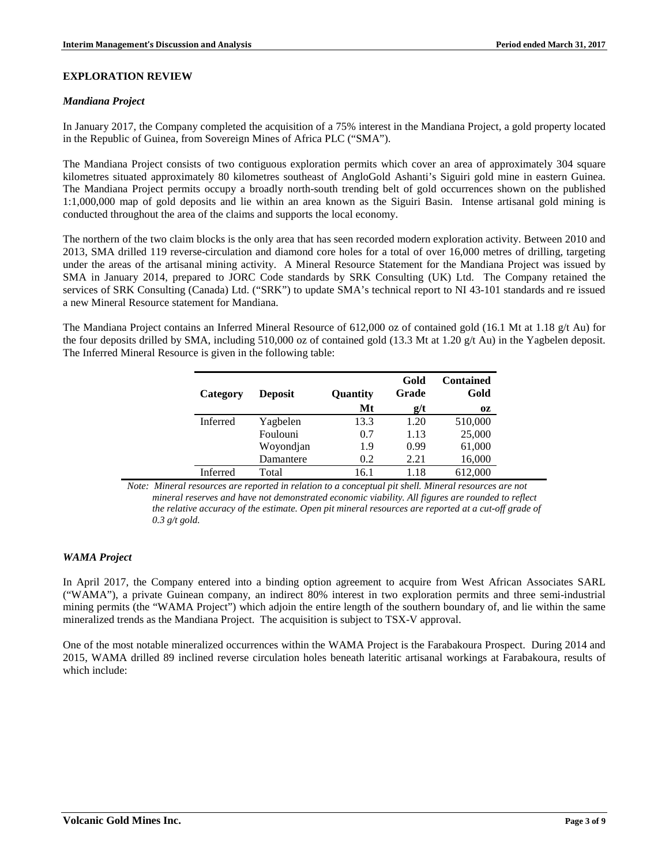## **EXPLORATION REVIEW**

#### *Mandiana Project*

In January 2017, the Company completed the acquisition of a 75% interest in the Mandiana Project, a gold property located in the Republic of Guinea, from Sovereign Mines of Africa PLC ("SMA").

The Mandiana Project consists of two contiguous exploration permits which cover an area of approximately 304 square kilometres situated approximately 80 kilometres southeast of AngloGold Ashanti's Siguiri gold mine in eastern Guinea. The Mandiana Project permits occupy a broadly north-south trending belt of gold occurrences shown on the published 1:1,000,000 map of gold deposits and lie within an area known as the Siguiri Basin. Intense artisanal gold mining is conducted throughout the area of the claims and supports the local economy.

The northern of the two claim blocks is the only area that has seen recorded modern exploration activity. Between 2010 and 2013, SMA drilled 119 reverse-circulation and diamond core holes for a total of over 16,000 metres of drilling, targeting under the areas of the artisanal mining activity. A Mineral Resource Statement for the Mandiana Project was issued by SMA in January 2014, prepared to JORC Code standards by SRK Consulting (UK) Ltd. The Company retained the services of SRK Consulting (Canada) Ltd. ("SRK") to update SMA's technical report to NI 43-101 standards and re issued a new Mineral Resource statement for Mandiana.

The Mandiana Project contains an Inferred Mineral Resource of 612,000 oz of contained gold (16.1 Mt at 1.18 g/t Au) for the four deposits drilled by SMA, including 510,000 oz of contained gold (13.3 Mt at 1.20 g/t Au) in the Yagbelen deposit. The Inferred Mineral Resource is given in the following table:

| Category | <b>Deposit</b> | Quantity | Gold<br>Grade | <b>Contained</b><br>Gold |
|----------|----------------|----------|---------------|--------------------------|
|          |                | Mt       | g/t           | OZ.                      |
| Inferred | Yagbelen       | 13.3     | 1.20          | 510,000                  |
|          | Foulouni       | 0.7      | 1.13          | 25,000                   |
|          | Woyondjan      | 1.9      | 0.99          | 61,000                   |
|          | Damantere      | 0.2      | 2.21          | 16,000                   |
| Inferred | Total          | 16.1     | 1.18          | 612.000                  |

*Note: Mineral resources are reported in relation to a conceptual pit shell. Mineral resources are not mineral reserves and have not demonstrated economic viability. All figures are rounded to reflect the relative accuracy of the estimate. Open pit mineral resources are reported at a cut-off grade of 0.3 g/t gold.* 

## *WAMA Project*

In April 2017, the Company entered into a binding option agreement to acquire from West African Associates SARL ("WAMA"), a private Guinean company, an indirect 80% interest in two exploration permits and three semi-industrial mining permits (the "WAMA Project") which adjoin the entire length of the southern boundary of, and lie within the same mineralized trends as the Mandiana Project. The acquisition is subject to TSX-V approval.

One of the most notable mineralized occurrences within the WAMA Project is the Farabakoura Prospect. During 2014 and 2015, WAMA drilled 89 inclined reverse circulation holes beneath lateritic artisanal workings at Farabakoura, results of which include: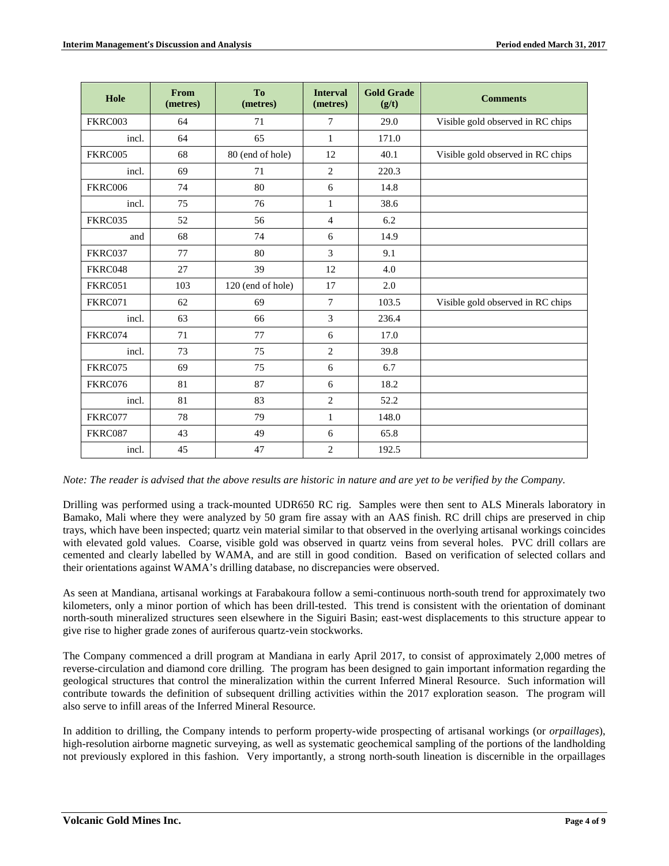| Hole           | From<br>(metres) | To<br>(metres)    | <b>Interval</b><br>(metres) | <b>Gold Grade</b><br>(g/t) | <b>Comments</b>                   |
|----------------|------------------|-------------------|-----------------------------|----------------------------|-----------------------------------|
| FKRC003        | 64               | 71                | $\tau$                      | 29.0                       | Visible gold observed in RC chips |
| incl.          | 64               | 65                | $\mathbf{1}$                | 171.0                      |                                   |
| FKRC005        | 68               | 80 (end of hole)  | 12                          | 40.1                       | Visible gold observed in RC chips |
| incl.          | 69               | 71                | 2                           | 220.3                      |                                   |
| <b>FKRC006</b> | 74               | 80                | 6                           | 14.8                       |                                   |
| incl.          | 75               | 76                | $\mathbf{1}$                | 38.6                       |                                   |
| FKRC035        | 52               | 56                | $\overline{4}$              | 6.2                        |                                   |
| and            | 68               | 74                | 6                           | 14.9                       |                                   |
| FKRC037        | 77               | 80                | 3                           | 9.1                        |                                   |
| FKRC048        | 27               | 39                | 12                          | 4.0                        |                                   |
| FKRC051        | 103              | 120 (end of hole) | 17                          | 2.0                        |                                   |
| FKRC071        | 62               | 69                | $7\phantom{.0}$             | 103.5                      | Visible gold observed in RC chips |
| incl.          | 63               | 66                | $\overline{3}$              | 236.4                      |                                   |
| FKRC074        | 71               | 77                | 6                           | 17.0                       |                                   |
| incl.          | 73               | 75                | $\overline{2}$              | 39.8                       |                                   |
| FKRC075        | 69               | 75                | 6                           | 6.7                        |                                   |
| FKRC076        | 81               | 87                | 6                           | 18.2                       |                                   |
| incl.          | 81               | 83                | $\overline{2}$              | 52.2                       |                                   |
| FKRC077        | 78               | 79                | $\mathbf{1}$                | 148.0                      |                                   |
| FKRC087        | 43               | 49                | 6                           | 65.8                       |                                   |
| incl.          | 45               | 47                | $\overline{2}$              | 192.5                      |                                   |

*Note: The reader is advised that the above results are historic in nature and are yet to be verified by the Company.*

Drilling was performed using a track-mounted UDR650 RC rig. Samples were then sent to ALS Minerals laboratory in Bamako, Mali where they were analyzed by 50 gram fire assay with an AAS finish. RC drill chips are preserved in chip trays, which have been inspected; quartz vein material similar to that observed in the overlying artisanal workings coincides with elevated gold values. Coarse, visible gold was observed in quartz veins from several holes. PVC drill collars are cemented and clearly labelled by WAMA, and are still in good condition. Based on verification of selected collars and their orientations against WAMA's drilling database, no discrepancies were observed.

As seen at Mandiana, artisanal workings at Farabakoura follow a semi-continuous north-south trend for approximately two kilometers, only a minor portion of which has been drill-tested. This trend is consistent with the orientation of dominant north-south mineralized structures seen elsewhere in the Siguiri Basin; east-west displacements to this structure appear to give rise to higher grade zones of auriferous quartz-vein stockworks.

The Company commenced a drill program at Mandiana in early April 2017, to consist of approximately 2,000 metres of reverse-circulation and diamond core drilling. The program has been designed to gain important information regarding the geological structures that control the mineralization within the current Inferred Mineral Resource. Such information will contribute towards the definition of subsequent drilling activities within the 2017 exploration season. The program will also serve to infill areas of the Inferred Mineral Resource.

In addition to drilling, the Company intends to perform property-wide prospecting of artisanal workings (or *orpaillages*), high-resolution airborne magnetic surveying, as well as systematic geochemical sampling of the portions of the landholding not previously explored in this fashion. Very importantly, a strong north-south lineation is discernible in the orpaillages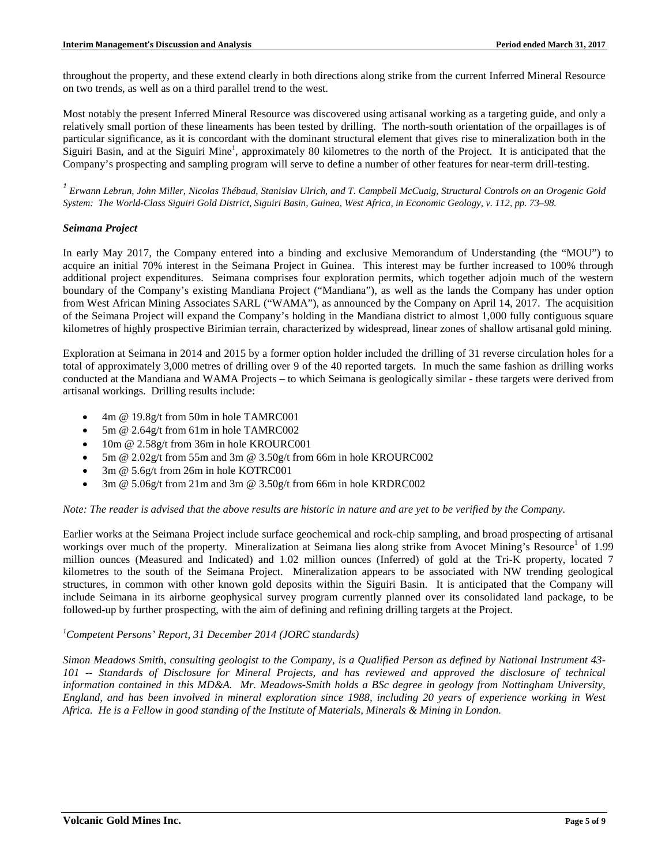throughout the property, and these extend clearly in both directions along strike from the current Inferred Mineral Resource on two trends, as well as on a third parallel trend to the west.

Most notably the present Inferred Mineral Resource was discovered using artisanal working as a targeting guide, and only a relatively small portion of these lineaments has been tested by drilling. The north-south orientation of the orpaillages is of particular significance, as it is concordant with the dominant structural element that gives rise to mineralization both in the Siguiri Basin, and at the Siguiri Mine<sup>1</sup>, approximately 80 kilometres to the north of the Project. It is anticipated that the Company's prospecting and sampling program will serve to define a number of other features for near-term drill-testing.

*<sup>1</sup> Erwann Lebrun, John Miller, Nicolas Thébaud, Stanislav Ulrich, and T. Campbell McCuaig, Structural Controls on an Orogenic Gold System: The World-Class Siguiri Gold District, Siguiri Basin, Guinea, West Africa, in Economic Geology, v. 112, pp. 73–98.*

#### *Seimana Project*

In early May 2017, the Company entered into a binding and exclusive Memorandum of Understanding (the "MOU") to acquire an initial 70% interest in the Seimana Project in Guinea. This interest may be further increased to 100% through additional project expenditures. Seimana comprises four exploration permits, which together adjoin much of the western boundary of the Company's existing Mandiana Project ("Mandiana"), as well as the lands the Company has under option from West African Mining Associates SARL ("WAMA"), as announced by the Company on April 14, 2017. The acquisition of the Seimana Project will expand the Company's holding in the Mandiana district to almost 1,000 fully contiguous square kilometres of highly prospective Birimian terrain, characterized by widespread, linear zones of shallow artisanal gold mining.

Exploration at Seimana in 2014 and 2015 by a former option holder included the drilling of 31 reverse circulation holes for a total of approximately 3,000 metres of drilling over 9 of the 40 reported targets. In much the same fashion as drilling works conducted at the Mandiana and WAMA Projects – to which Seimana is geologically similar - these targets were derived from artisanal workings. Drilling results include:

- 4m @ 19.8g/t from 50m in hole TAMRC001
- 5m @ 2.64g/t from 61m in hole TAMRC002
- 10m @ 2.58g/t from 36m in hole KROURC001
- 5m @ 2.02g/t from 55m and 3m @ 3.50g/t from 66m in hole KROURC002
- 3m @ 5.6g/t from 26m in hole KOTRC001
- 3m @ 5.06g/t from 21m and 3m @ 3.50g/t from 66m in hole KRDRC002

#### *Note: The reader is advised that the above results are historic in nature and are yet to be verified by the Company.*

Earlier works at the Seimana Project include surface geochemical and rock-chip sampling, and broad prospecting of artisanal workings over much of the property. Mineralization at Seimana lies along strike from Avocet Mining's Resource<sup>1</sup> of 1.99 million ounces (Measured and Indicated) and 1.02 million ounces (Inferred) of gold at the Tri-K property, located 7 kilometres to the south of the Seimana Project. Mineralization appears to be associated with NW trending geological structures, in common with other known gold deposits within the Siguiri Basin. It is anticipated that the Company will include Seimana in its airborne geophysical survey program currently planned over its consolidated land package, to be followed-up by further prospecting, with the aim of defining and refining drilling targets at the Project.

# *1 Competent Persons' Report, 31 December 2014 (JORC standards)*

*Simon Meadows Smith, consulting geologist to the Company, is a Qualified Person as defined by National Instrument 43- 101 -- Standards of Disclosure for Mineral Projects, and has reviewed and approved the disclosure of technical information contained in this MD&A. Mr. Meadows-Smith holds a BSc degree in geology from Nottingham University, England, and has been involved in mineral exploration since 1988, including 20 years of experience working in West Africa. He is a Fellow in good standing of the Institute of Materials, Minerals & Mining in London.*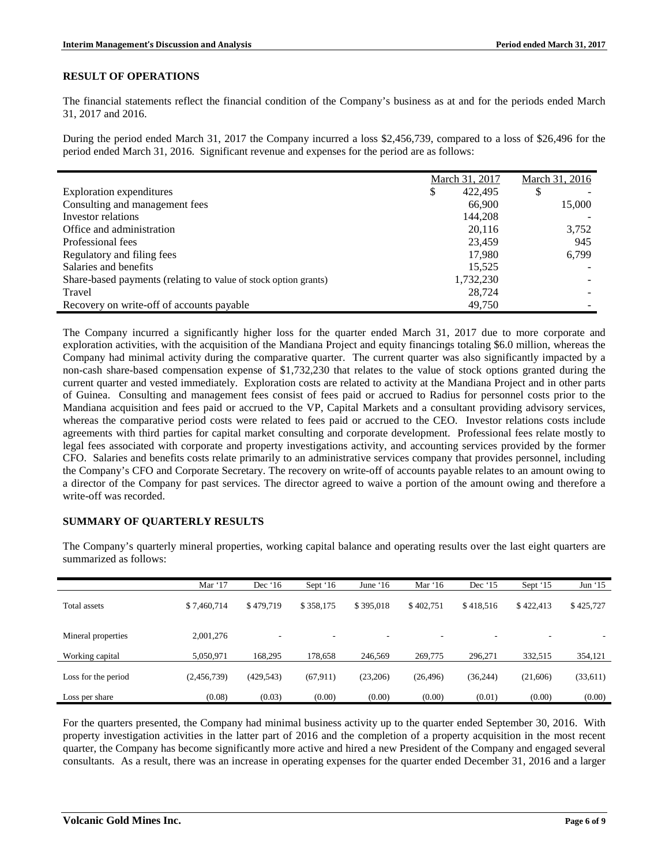# **RESULT OF OPERATIONS**

The financial statements reflect the financial condition of the Company's business as at and for the periods ended March 31, 2017 and 2016.

During the period ended March 31, 2017 the Company incurred a loss \$2,456,739, compared to a loss of \$26,496 for the period ended March 31, 2016. Significant revenue and expenses for the period are as follows:

|                                                                 | March 31, 2017 | March 31, 2016 |
|-----------------------------------------------------------------|----------------|----------------|
| <b>Exploration expenditures</b>                                 | 422,495<br>\$  | \$             |
| Consulting and management fees                                  | 66,900         | 15,000         |
| Investor relations                                              | 144,208        |                |
| Office and administration                                       | 20,116         | 3,752          |
| Professional fees                                               | 23,459         | 945            |
| Regulatory and filing fees                                      | 17,980         | 6,799          |
| Salaries and benefits                                           | 15.525         |                |
| Share-based payments (relating to value of stock option grants) | 1,732,230      |                |
| Travel                                                          | 28,724         |                |
| Recovery on write-off of accounts payable                       | 49.750         |                |

The Company incurred a significantly higher loss for the quarter ended March 31, 2017 due to more corporate and exploration activities, with the acquisition of the Mandiana Project and equity financings totaling \$6.0 million, whereas the Company had minimal activity during the comparative quarter. The current quarter was also significantly impacted by a non-cash share-based compensation expense of \$1,732,230 that relates to the value of stock options granted during the current quarter and vested immediately. Exploration costs are related to activity at the Mandiana Project and in other parts of Guinea. Consulting and management fees consist of fees paid or accrued to Radius for personnel costs prior to the Mandiana acquisition and fees paid or accrued to the VP, Capital Markets and a consultant providing advisory services, whereas the comparative period costs were related to fees paid or accrued to the CEO. Investor relations costs include agreements with third parties for capital market consulting and corporate development. Professional fees relate mostly to legal fees associated with corporate and property investigations activity, and accounting services provided by the former CFO. Salaries and benefits costs relate primarily to an administrative services company that provides personnel, including the Company's CFO and Corporate Secretary. The recovery on write-off of accounts payable relates to an amount owing to a director of the Company for past services. The director agreed to waive a portion of the amount owing and therefore a write-off was recorded.

## **SUMMARY OF QUARTERLY RESULTS**

The Company's quarterly mineral properties, working capital balance and operating results over the last eight quarters are summarized as follows:

|                     | Mar $17$    | Dec $16$   | Sept $16$ | June $16$                | Mar $16$  | Dec $15$  | Sept '15  | Jun $15$  |
|---------------------|-------------|------------|-----------|--------------------------|-----------|-----------|-----------|-----------|
| Total assets        | \$7,460,714 | \$479,719  | \$358,175 | \$395,018                | \$402.751 | \$418.516 | \$422,413 | \$425,727 |
| Mineral properties  | 2,001,276   |            |           | $\overline{\phantom{a}}$ |           |           | -         |           |
| Working capital     | 5.050.971   | 168.295    | 178,658   | 246,569                  | 269,775   | 296,271   | 332,515   | 354,121   |
| Loss for the period | (2,456,739) | (429, 543) | (67, 911) | (23,206)                 | (26, 496) | (36, 244) | (21,606)  | (33,611)  |
| Loss per share      | (0.08)      | (0.03)     | (0.00)    | (0.00)                   | (0.00)    | (0.01)    | (0.00)    | (0.00)    |

For the quarters presented, the Company had minimal business activity up to the quarter ended September 30, 2016. With property investigation activities in the latter part of 2016 and the completion of a property acquisition in the most recent quarter, the Company has become significantly more active and hired a new President of the Company and engaged several consultants. As a result, there was an increase in operating expenses for the quarter ended December 31, 2016 and a larger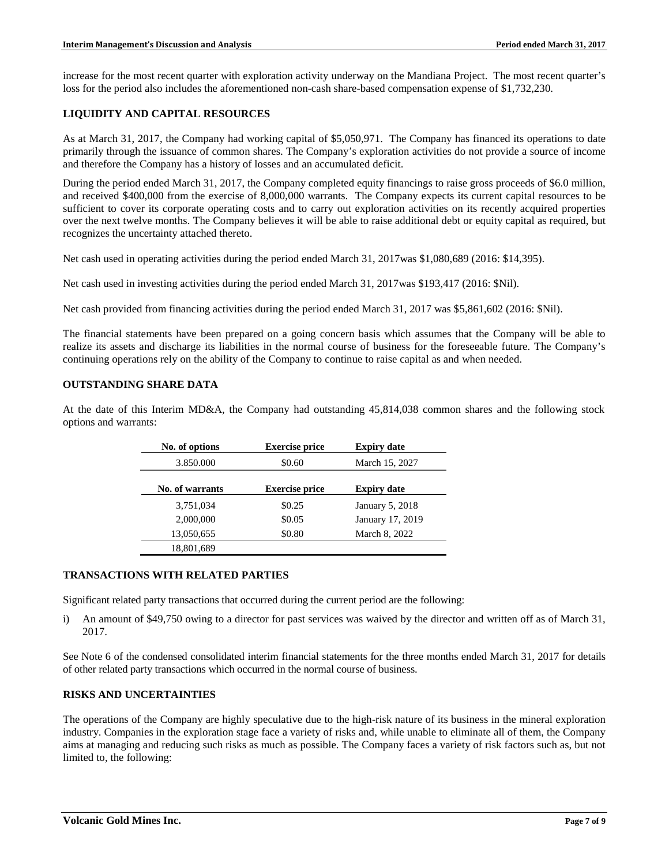increase for the most recent quarter with exploration activity underway on the Mandiana Project. The most recent quarter's loss for the period also includes the aforementioned non-cash share-based compensation expense of \$1,732,230.

# **LIQUIDITY AND CAPITAL RESOURCES**

As at March 31, 2017, the Company had working capital of \$5,050,971. The Company has financed its operations to date primarily through the issuance of common shares. The Company's exploration activities do not provide a source of income and therefore the Company has a history of losses and an accumulated deficit.

During the period ended March 31, 2017, the Company completed equity financings to raise gross proceeds of \$6.0 million, and received \$400,000 from the exercise of 8,000,000 warrants. The Company expects its current capital resources to be sufficient to cover its corporate operating costs and to carry out exploration activities on its recently acquired properties over the next twelve months. The Company believes it will be able to raise additional debt or equity capital as required, but recognizes the uncertainty attached thereto.

Net cash used in operating activities during the period ended March 31, 2017was \$1,080,689 (2016: \$14,395).

Net cash used in investing activities during the period ended March 31, 2017was \$193,417 (2016: \$Nil).

Net cash provided from financing activities during the period ended March 31, 2017 was \$5,861,602 (2016: \$Nil).

The financial statements have been prepared on a going concern basis which assumes that the Company will be able to realize its assets and discharge its liabilities in the normal course of business for the foreseeable future. The Company's continuing operations rely on the ability of the Company to continue to raise capital as and when needed.

## **OUTSTANDING SHARE DATA**

At the date of this Interim MD&A, the Company had outstanding 45,814,038 common shares and the following stock options and warrants:

| No. of options  | <b>Exercise price</b> | <b>Expiry date</b> |
|-----------------|-----------------------|--------------------|
| 3.850.000       | \$0.60                | March 15, 2027     |
| No. of warrants | <b>Exercise price</b> | <b>Expiry date</b> |
| 3,751,034       | \$0.25                | January 5, 2018    |
| 2,000,000       | \$0.05                | January 17, 2019   |
| 13,050,655      | \$0.80                | March 8, 2022      |
| 18,801,689      |                       |                    |

## **TRANSACTIONS WITH RELATED PARTIES**

Significant related party transactions that occurred during the current period are the following:

i) An amount of \$49,750 owing to a director for past services was waived by the director and written off as of March 31, 2017.

See Note 6 of the condensed consolidated interim financial statements for the three months ended March 31, 2017 for details of other related party transactions which occurred in the normal course of business.

## **RISKS AND UNCERTAINTIES**

The operations of the Company are highly speculative due to the high-risk nature of its business in the mineral exploration industry. Companies in the exploration stage face a variety of risks and, while unable to eliminate all of them, the Company aims at managing and reducing such risks as much as possible. The Company faces a variety of risk factors such as, but not limited to, the following: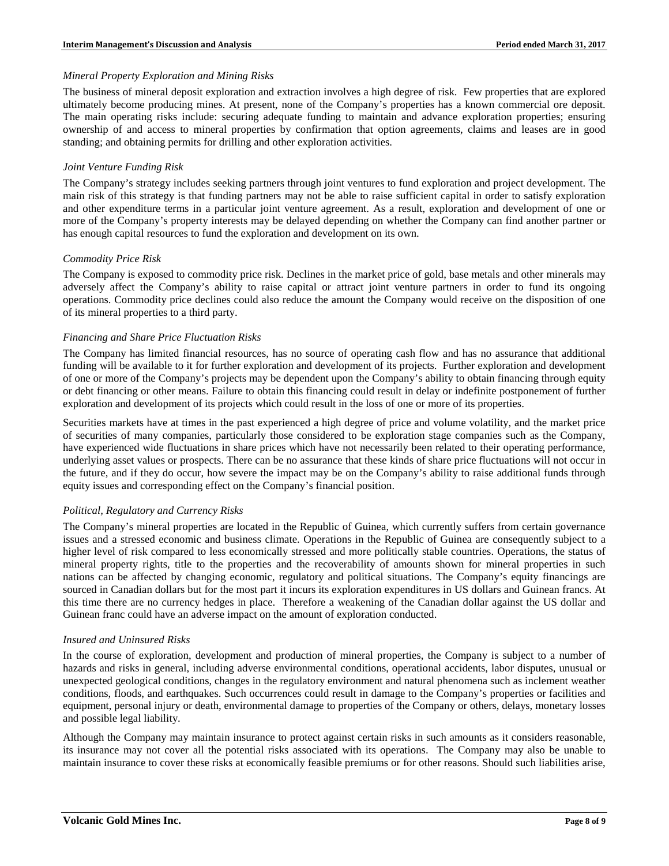#### *Mineral Property Exploration and Mining Risks*

The business of mineral deposit exploration and extraction involves a high degree of risk. Few properties that are explored ultimately become producing mines. At present, none of the Company's properties has a known commercial ore deposit. The main operating risks include: securing adequate funding to maintain and advance exploration properties; ensuring ownership of and access to mineral properties by confirmation that option agreements, claims and leases are in good standing; and obtaining permits for drilling and other exploration activities.

### *Joint Venture Funding Risk*

The Company's strategy includes seeking partners through joint ventures to fund exploration and project development. The main risk of this strategy is that funding partners may not be able to raise sufficient capital in order to satisfy exploration and other expenditure terms in a particular joint venture agreement. As a result, exploration and development of one or more of the Company's property interests may be delayed depending on whether the Company can find another partner or has enough capital resources to fund the exploration and development on its own.

#### *Commodity Price Risk*

The Company is exposed to commodity price risk. Declines in the market price of gold, base metals and other minerals may adversely affect the Company's ability to raise capital or attract joint venture partners in order to fund its ongoing operations. Commodity price declines could also reduce the amount the Company would receive on the disposition of one of its mineral properties to a third party.

## *Financing and Share Price Fluctuation Risks*

The Company has limited financial resources, has no source of operating cash flow and has no assurance that additional funding will be available to it for further exploration and development of its projects. Further exploration and development of one or more of the Company's projects may be dependent upon the Company's ability to obtain financing through equity or debt financing or other means. Failure to obtain this financing could result in delay or indefinite postponement of further exploration and development of its projects which could result in the loss of one or more of its properties.

Securities markets have at times in the past experienced a high degree of price and volume volatility, and the market price of securities of many companies, particularly those considered to be exploration stage companies such as the Company, have experienced wide fluctuations in share prices which have not necessarily been related to their operating performance, underlying asset values or prospects. There can be no assurance that these kinds of share price fluctuations will not occur in the future, and if they do occur, how severe the impact may be on the Company's ability to raise additional funds through equity issues and corresponding effect on the Company's financial position.

## *Political, Regulatory and Currency Risks*

The Company's mineral properties are located in the Republic of Guinea, which currently suffers from certain governance issues and a stressed economic and business climate. Operations in the Republic of Guinea are consequently subject to a higher level of risk compared to less economically stressed and more politically stable countries. Operations, the status of mineral property rights, title to the properties and the recoverability of amounts shown for mineral properties in such nations can be affected by changing economic, regulatory and political situations. The Company's equity financings are sourced in Canadian dollars but for the most part it incurs its exploration expenditures in US dollars and Guinean francs. At this time there are no currency hedges in place. Therefore a weakening of the Canadian dollar against the US dollar and Guinean franc could have an adverse impact on the amount of exploration conducted.

#### *Insured and Uninsured Risks*

In the course of exploration, development and production of mineral properties, the Company is subject to a number of hazards and risks in general, including adverse environmental conditions, operational accidents, labor disputes, unusual or unexpected geological conditions, changes in the regulatory environment and natural phenomena such as inclement weather conditions, floods, and earthquakes. Such occurrences could result in damage to the Company's properties or facilities and equipment, personal injury or death, environmental damage to properties of the Company or others, delays, monetary losses and possible legal liability.

Although the Company may maintain insurance to protect against certain risks in such amounts as it considers reasonable, its insurance may not cover all the potential risks associated with its operations. The Company may also be unable to maintain insurance to cover these risks at economically feasible premiums or for other reasons. Should such liabilities arise,